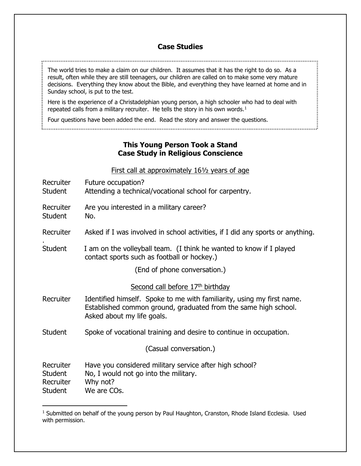## **Case Studies**

The world tries to make a claim on our children. It assumes that it has the right to do so. As a result, often while they are still teenagers, our children are called on to make some very mature decisions. Everything they know about the Bible, and everything they have learned at home and in Sunday school, is put to the test.

Here is the experience of a Christadelphian young person, a high schooler who had to deal with repeated calls from a military recruiter. He tells the story in his own words. $<sup>1</sup>$ </sup>

Four questions have been added the end. Read the story and answer the questions.

## **This Young Person Took a Stand Case Study in Religious Conscience**

First call at approximately 16½ years of age

- Recruiter Future occupation? Student Attending a technical/vocational school for carpentry.
- Recruiter Are you interested in a military career?

Student No.

.

 $\overline{a}$ 

- Recruiter Asked if I was involved in school activities, if I did any sports or anything.
- Student I am on the volleyball team. (I think he wanted to know if I played contact sports such as football or hockey.)

(End of phone conversation.)

Second call before 17<sup>th</sup> birthday

- Recruiter Identified himself. Spoke to me with familiarity, using my first name. Established common ground, graduated from the same high school. Asked about my life goals.
- Student Spoke of vocational training and desire to continue in occupation.

(Casual conversation.)

| Recruiter | Have you considered military service after high school? |
|-----------|---------------------------------------------------------|
| Student   | No, I would not go into the military.                   |
| Recruiter | Why not?                                                |
| Student   | We are COs.                                             |

 $<sup>1</sup>$  Submitted on behalf of the young person by Paul Haughton, Cranston, Rhode Island Ecclesia. Used</sup> with permission.